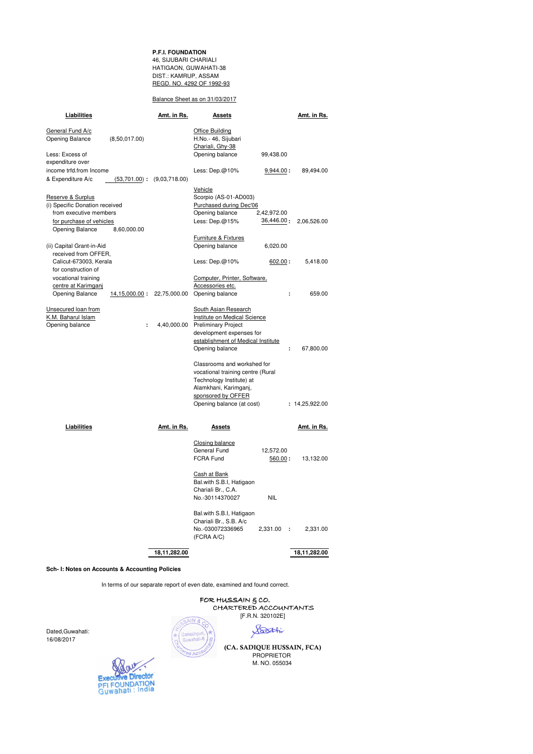**P.F.I. FOUNDATION** 46, SIJUBARI CHARIALI HATIGAON, GUWAHATI-38 DIST.: KAMRUP, ASSAM REGD. NO. 4292 OF 1992-93

#### Balance Sheet as on 31/03/2017

| Liabilities                                         | <u>Amt. in Rs.</u>              | <u>Assets</u>                              |               | <u>Amt. in Rs.</u> |  |
|-----------------------------------------------------|---------------------------------|--------------------------------------------|---------------|--------------------|--|
| General Fund A/c                                    |                                 | Office Building                            |               |                    |  |
| Opening Balance                                     | (8,50,017.00)                   | H.No.- 46, Sijubari                        |               |                    |  |
|                                                     |                                 | Chariali, Ghy-38                           |               |                    |  |
| Less: Excess of                                     |                                 | Opening balance                            | 99,438.00     |                    |  |
| expenditure over                                    |                                 |                                            |               |                    |  |
| income trfd.from Income                             |                                 | Less: $Dep.@10%$                           | 9,944.00:     | 89,494.00          |  |
| & Expenditure A/c                                   | $(53,701.00)$ : $(9,03,718.00)$ |                                            |               |                    |  |
|                                                     |                                 |                                            |               |                    |  |
|                                                     |                                 | Vehicle                                    |               |                    |  |
| Reserve & Surplus<br>(i) Specific Donation received |                                 | Scorpio (AS-01-AD003)                      |               |                    |  |
| from executive members                              |                                 | Purchased during Dec'06<br>Opening balance | 2,42,972.00   |                    |  |
| for purchase of vehicles                            |                                 | Less: $Dep.@15%$                           | 36,446.00:    | 2,06,526.00        |  |
| Opening Balance                                     | 8,60,000.00                     |                                            |               |                    |  |
|                                                     |                                 |                                            |               |                    |  |
|                                                     |                                 | Furniture & Fixtures                       |               |                    |  |
| (ii) Capital Grant-in-Aid<br>received from OFFER,   |                                 | Opening balance                            | 6,020.00      |                    |  |
| Calicut-673003, Kerala                              |                                 | Less: $Dep.@10%$                           | 602.00:       | 5,418.00           |  |
| for construction of                                 |                                 |                                            |               |                    |  |
| vocational training                                 |                                 | Computer, Printer, Software,               |               |                    |  |
| centre at Karimgani                                 |                                 | Accessories etc.                           |               |                    |  |
| Opening Balance                                     | 22,75,000.00<br>14, 15, 000.00: | Opening balance                            | ÷.            | 659.00             |  |
|                                                     |                                 |                                            |               |                    |  |
| Unsecured loan from                                 |                                 | South Asian Research                       |               |                    |  |
| K.M. Baharul Islam                                  |                                 | Institute on Medical Science               |               |                    |  |
| Opening balance                                     | 4,40,000.00<br>÷                | <b>Preliminary Project</b>                 |               |                    |  |
|                                                     |                                 | development expenses for                   |               |                    |  |
|                                                     |                                 | establishment of Medical Institute         |               |                    |  |
|                                                     |                                 | Opening balance                            | ÷.            | 67,800.00          |  |
|                                                     |                                 | Classrooms and workshed for                |               |                    |  |
|                                                     |                                 | vocational training centre (Rural          |               |                    |  |
|                                                     |                                 | Technology Institute) at                   |               |                    |  |
|                                                     |                                 | Alamkhani, Karimganj,                      |               |                    |  |
|                                                     |                                 | sponsored by OFFER                         |               |                    |  |
|                                                     |                                 | Opening balance (at cost)                  |               | : 14,25,922.00     |  |
|                                                     |                                 |                                            |               |                    |  |
| Liabilities                                         | Amt. in Rs.                     | Assets                                     |               | Amt. in Rs.        |  |
|                                                     |                                 |                                            |               |                    |  |
|                                                     |                                 | Closing balance                            |               |                    |  |
|                                                     |                                 | General Fund                               | 12,572.00     |                    |  |
|                                                     |                                 | FCRA Fund                                  | 560.00:       | 13,132.00          |  |
|                                                     |                                 |                                            |               |                    |  |
|                                                     |                                 | Cash at Bank                               |               |                    |  |
|                                                     |                                 | Bal.with S.B.I, Hatigaon                   |               |                    |  |
|                                                     |                                 | Chariali Br., C.A.                         | <b>NIL</b>    |                    |  |
|                                                     |                                 | No.-30114370027                            |               |                    |  |
|                                                     |                                 | Bal.with S.B.I, Hatigaon                   |               |                    |  |
|                                                     |                                 | Chariali Br., S.B. A/c                     |               |                    |  |
|                                                     |                                 | No.-030072336965                           | 2,331.00<br>÷ | 2,331.00           |  |
|                                                     |                                 | (FCRA A/C)                                 |               |                    |  |
|                                                     |                                 |                                            |               |                    |  |
|                                                     | 18,11,282.00                    |                                            |               | 18,11,282.00       |  |

**Sch- I: Notes on Accounts & Accounting Policies**

In terms of our separate report of even date, examined and found correct.

 FOR HUSSAIN & CO. CHARTERED ACCOUNTANTS **E.R.N. 320102E** 

Dated,Guwahati: 16/08/2017



Soothi  **(CA. SADIQUE HUSSAIN, FCA)**

PROPRIETOR M. NO. 055034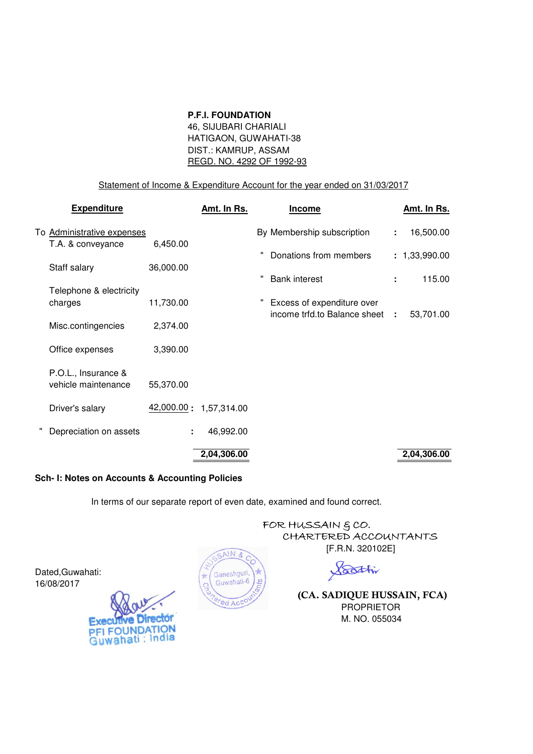## **P.F.I. FOUNDATION**

 46, SIJUBARI CHARIALI HATIGAON, GUWAHATI-38 DIST.: KAMRUP, ASSAM REGD. NO. 4292 OF 1992-93

# Statement of Income & Expenditure Account for the year ended on 31/03/2017

| <b>Expenditure</b>                         |           | <u>Amt. In Rs.</u>     | <b>Income</b>                | <u>Amt. In Rs.</u> |
|--------------------------------------------|-----------|------------------------|------------------------------|--------------------|
| To Administrative expenses                 |           |                        | By Membership subscription   | 16,500.00<br>÷     |
| T.A. & conveyance                          | 6,450.00  |                        | Donations from members       | : 1,33,990.00      |
| Staff salary                               | 36,000.00 |                        |                              |                    |
| Telephone & electricity                    |           |                        | <b>Bank interest</b>         | 115.00<br>÷        |
| charges                                    | 11,730.00 |                        | Excess of expenditure over   |                    |
| Misc.contingencies                         | 2,374.00  |                        | income trfd.to Balance sheet | 53,701.00<br>÷     |
| Office expenses                            | 3,390.00  |                        |                              |                    |
| P.O.L., Insurance &<br>vehicle maintenance | 55,370.00 |                        |                              |                    |
| Driver's salary                            |           | 42,000.00: 1,57,314.00 |                              |                    |
| Depreciation on assets                     | ÷.        | 46,992.00              |                              |                    |
|                                            |           | 2,04,306.00            |                              | 2,04,306.00        |

# **Sch- I: Notes on Accounts & Accounting Policies**

In terms of our separate report of even date, examined and found correct.

AIN &

Ganeshguri, Guwahati-6

ed Acc

FOR HUSSAIN  $$CO.$  CHARTERED ACCOUNTANTS [F.R.N. 320102E]

Soothin

 **(CA. SADIQUE HUSSAIN, FCA)** PROPRIETOR M. NO. 055034

Dated,Guwahati: 16/08/2017